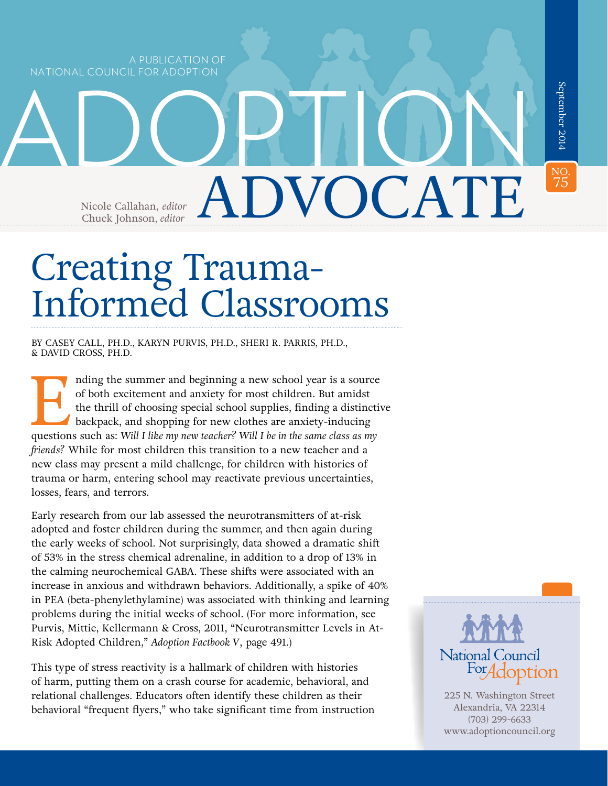A PUBLICATION OF NATIONAL COUNCIL FOR ADOPTION

September 2014 75September 2014 ADOPTIONNO.<br>75 *editor* ADVOCATE Nicole Callahan, editor Chuck Johnson*, editor*

# Creating Trauma-Informed Classrooms

BY CASEY CALL, PH.D., KARYN PURVIS, PH.D., SHERI R. PARRIS, PH.D., & DAVID CROSS, PH.D.

I nding the summer and beginning a new school year is a source of both excitement and anxiety for most children. But amidst the thrill of choosing special school supplies, finding a distinctive backpack, and shopping for n of both excitement and anxiety for most children. But amidst the thrill of choosing special school supplies, finding a distinctive backpack, and shopping for new clothes are anxiety-inducing *friends?* While for most children this transition to a new teacher and a new class may present a mild challenge, for children with histories of trauma or harm, entering school may reactivate previous uncertainties, losses, fears, and terrors.

Early research from our lab assessed the neurotransmitters of at-risk adopted and foster children during the summer, and then again during the early weeks of school. Not surprisingly, data showed a dramatic shift of 53% in the stress chemical adrenaline, in addition to a drop of 13% in the calming neurochemical GABA. These shifts were associated with an increase in anxious and withdrawn behaviors. Additionally, a spike of 40% in PEA (beta-phenylethylamine) was associated with thinking and learning problems during the initial weeks of school. (For more information, see Purvis, Mittie, Kellermann & Cross, 2011, "Neurotransmitter Levels in At-Risk Adopted Children," *Adoption Factbook V*, page 491.)

This type of stress reactivity is a hallmark of children with histories of harm, putting them on a crash course for academic, behavioral, and relational challenges. Educators often identify these children as their behavioral "frequent flyers," who take significant time from instruction



225 N. Washington Street Alexandria, VA 22314 (703) 299-6633 [www.adoptioncouncil.org](http://www.adoptioncouncil.org )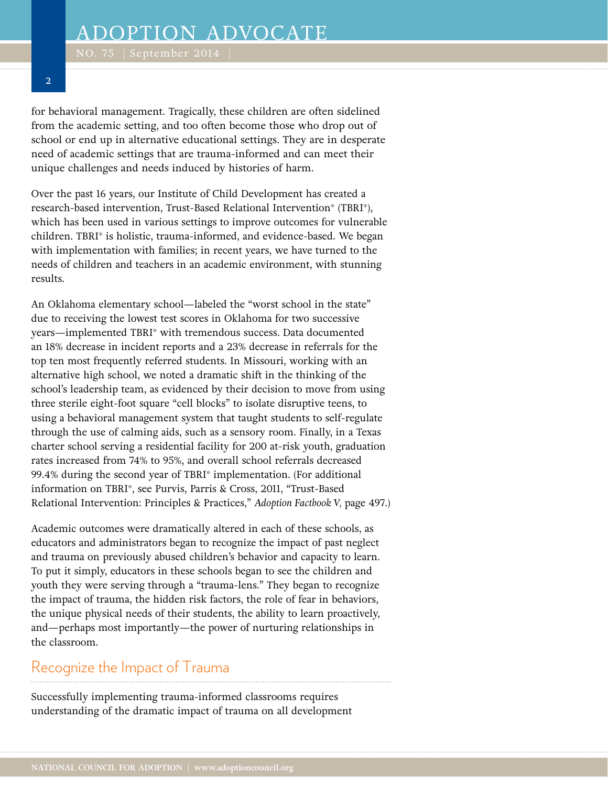for behavioral management. Tragically, these children are often sidelined from the academic setting, and too often become those who drop out of school or end up in alternative educational settings. They are in desperate need of academic settings that are trauma-informed and can meet their unique challenges and needs induced by histories of harm.

Over the past 16 years, our Institute of Child Development has created a research-based intervention, Trust-Based Relational Intervention® (TBRI®), which has been used in various settings to improve outcomes for vulnerable children. TBRI® is holistic, trauma-informed, and evidence-based. We began with implementation with families; in recent years, we have turned to the needs of children and teachers in an academic environment, with stunning results.

An Oklahoma elementary school—labeled the "worst school in the state" due to receiving the lowest test scores in Oklahoma for two successive years—implemented TBRI® with tremendous success. Data documented an 18% decrease in incident reports and a 23% decrease in referrals for the top ten most frequently referred students. In Missouri, working with an alternative high school, we noted a dramatic shift in the thinking of the school's leadership team, as evidenced by their decision to move from using three sterile eight-foot square "cell blocks" to isolate disruptive teens, to using a behavioral management system that taught students to self-regulate through the use of calming aids, such as a sensory room. Finally, in a Texas charter school serving a residential facility for 200 at-risk youth, graduation rates increased from 74% to 95%, and overall school referrals decreased 99.4% during the second year of TBRI® implementation. (For additional information on TBRI®, see Purvis, Parris & Cross, 2011, "Trust-Based Relational Intervention: Principles & Practices," *Adoption Factbook V,* page 497.)

Academic outcomes were dramatically altered in each of these schools, as educators and administrators began to recognize the impact of past neglect and trauma on previously abused children's behavior and capacity to learn. To put it simply, educators in these schools began to see the children and youth they were serving through a "trauma-lens." They began to recognize the impact of trauma, the hidden risk factors, the role of fear in behaviors, the unique physical needs of their students, the ability to learn proactively, and—perhaps most importantly—the power of nurturing relationships in the classroom.

## Recognize the Impact of Trauma

Successfully implementing trauma-informed classrooms requires understanding of the dramatic impact of trauma on all development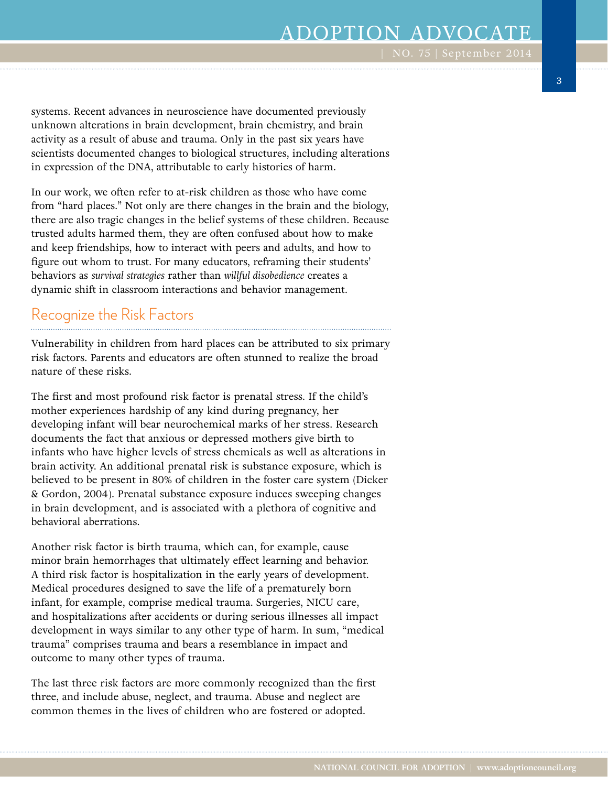# ADOPTION ADVOCATE

systems. Recent advances in neuroscience have documented previously unknown alterations in brain development, brain chemistry, and brain activity as a result of abuse and trauma. Only in the past six years have scientists documented changes to biological structures, including alterations in expression of the DNA, attributable to early histories of harm.

In our work, we often refer to at-risk children as those who have come from "hard places." Not only are there changes in the brain and the biology, there are also tragic changes in the belief systems of these children. Because trusted adults harmed them, they are often confused about how to make and keep friendships, how to interact with peers and adults, and how to figure out whom to trust. For many educators, reframing their students' behaviors as *survival strategies* rather than *willful disobedience* creates a dynamic shift in classroom interactions and behavior management.

#### Recognize the Risk Factors

Vulnerability in children from hard places can be attributed to six primary risk factors. Parents and educators are often stunned to realize the broad nature of these risks.

The first and most profound risk factor is prenatal stress. If the child's mother experiences hardship of any kind during pregnancy, her developing infant will bear neurochemical marks of her stress. Research documents the fact that anxious or depressed mothers give birth to infants who have higher levels of stress chemicals as well as alterations in brain activity. An additional prenatal risk is substance exposure, which is believed to be present in 80% of children in the foster care system (Dicker & Gordon, 2004). Prenatal substance exposure induces sweeping changes in brain development, and is associated with a plethora of cognitive and behavioral aberrations.

Another risk factor is birth trauma, which can, for example, cause minor brain hemorrhages that ultimately effect learning and behavior. A third risk factor is hospitalization in the early years of development. Medical procedures designed to save the life of a prematurely born infant, for example, comprise medical trauma. Surgeries, NICU care, and hospitalizations after accidents or during serious illnesses all impact development in ways similar to any other type of harm. In sum, "medical trauma" comprises trauma and bears a resemblance in impact and outcome to many other types of trauma.

The last three risk factors are more commonly recognized than the first three, and include abuse, neglect, and trauma. Abuse and neglect are common themes in the lives of children who are fostered or adopted.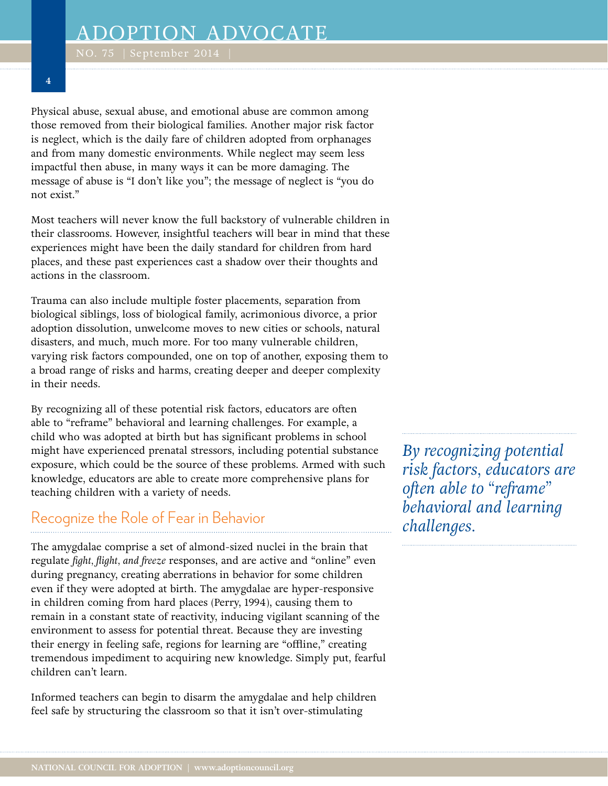Physical abuse, sexual abuse, and emotional abuse are common among those removed from their biological families. Another major risk factor is neglect, which is the daily fare of children adopted from orphanages and from many domestic environments. While neglect may seem less impactful then abuse, in many ways it can be more damaging. The message of abuse is "I don't like you"; the message of neglect is "you do not exist."

Most teachers will never know the full backstory of vulnerable children in their classrooms. However, insightful teachers will bear in mind that these experiences might have been the daily standard for children from hard places, and these past experiences cast a shadow over their thoughts and actions in the classroom.

Trauma can also include multiple foster placements, separation from biological siblings, loss of biological family, acrimonious divorce, a prior adoption dissolution, unwelcome moves to new cities or schools, natural disasters, and much, much more. For too many vulnerable children, varying risk factors compounded, one on top of another, exposing them to a broad range of risks and harms, creating deeper and deeper complexity in their needs.

By recognizing all of these potential risk factors, educators are often able to "reframe" behavioral and learning challenges. For example, a child who was adopted at birth but has significant problems in school might have experienced prenatal stressors, including potential substance exposure, which could be the source of these problems. Armed with such knowledge, educators are able to create more comprehensive plans for teaching children with a variety of needs.

#### Recognize the Role of Fear in Behavior

The amygdalae comprise a set of almond-sized nuclei in the brain that regulate *fight, flight, and freeze* responses, and are active and "online" even during pregnancy, creating aberrations in behavior for some children even if they were adopted at birth. The amygdalae are hyper-responsive in children coming from hard places (Perry, 1994), causing them to remain in a constant state of reactivity, inducing vigilant scanning of the environment to assess for potential threat. Because they are investing their energy in feeling safe, regions for learning are "offline," creating tremendous impediment to acquiring new knowledge. Simply put, fearful children can't learn.

Informed teachers can begin to disarm the amygdalae and help children feel safe by structuring the classroom so that it isn't over-stimulating

*By recognizing potential risk factors, educators are often able to "reframe" behavioral and learning challenges.*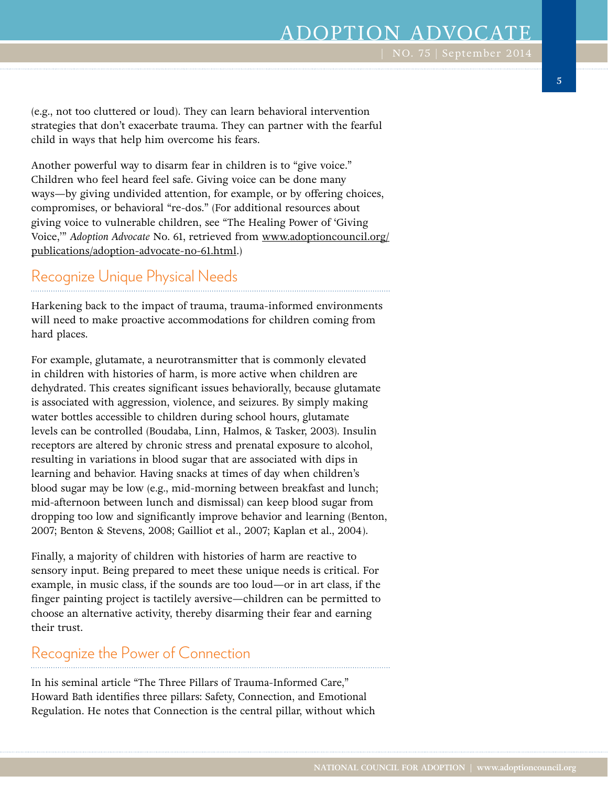# ADOPTION ADVOCAT

(e.g., not too cluttered or loud). They can learn behavioral intervention strategies that don't exacerbate trauma. They can partner with the fearful child in ways that help him overcome his fears.

Another powerful way to disarm fear in children is to "give voice." Children who feel heard feel safe. Giving voice can be done many ways—by giving undivided attention, for example, or by offering choices, compromises, or behavioral "re-dos." (For additional resources about giving voice to vulnerable children, see "The Healing Power of 'Giving Voice,'" *Adoption Advocate* No. 61, retrieved from www.adoptioncouncil.org/ publications/adoption-advocate-no-61.html.)

## Recognize Unique Physical Needs

Harkening back to the impact of trauma, trauma-informed environments will need to make proactive accommodations for children coming from hard places.

For example, glutamate, a neurotransmitter that is commonly elevated in children with histories of harm, is more active when children are dehydrated. This creates significant issues behaviorally, because glutamate is associated with aggression, violence, and seizures. By simply making water bottles accessible to children during school hours, glutamate levels can be controlled (Boudaba, Linn, Halmos, & Tasker, 2003). Insulin receptors are altered by chronic stress and prenatal exposure to alcohol, resulting in variations in blood sugar that are associated with dips in learning and behavior. Having snacks at times of day when children's blood sugar may be low (e.g., mid-morning between breakfast and lunch; mid-afternoon between lunch and dismissal) can keep blood sugar from dropping too low and significantly improve behavior and learning (Benton, 2007; Benton & Stevens, 2008; Gailliot et al., 2007; Kaplan et al., 2004).

Finally, a majority of children with histories of harm are reactive to sensory input. Being prepared to meet these unique needs is critical. For example, in music class, if the sounds are too loud—or in art class, if the finger painting project is tactilely aversive—children can be permitted to choose an alternative activity, thereby disarming their fear and earning their trust.

#### Recognize the Power of Connection

In his seminal article "The Three Pillars of Trauma-Informed Care," Howard Bath identifies three pillars: Safety, Connection, and Emotional Regulation. He notes that Connection is the central pillar, without which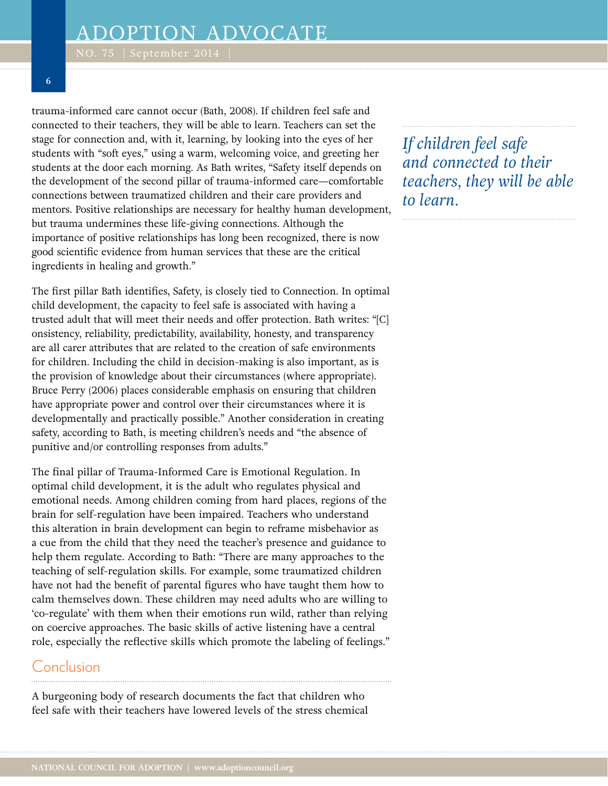trauma-informed care cannot occur (Bath, 2008). If children feel safe and connected to their teachers, they will be able to learn. Teachers can set the stage for connection and, with it, learning, by looking into the eyes of her students with "soft eyes," using a warm, welcoming voice, and greeting her students at the door each morning. As Bath writes, "Safety itself depends on the development of the second pillar of trauma-informed care—comfortable connections between traumatized children and their care providers and mentors. Positive relationships are necessary for healthy human development, but trauma undermines these life-giving connections. Although the importance of positive relationships has long been recognized, there is now good scientific evidence from human services that these are the critical ingredients in healing and growth."

The first pillar Bath identifies, Safety, is closely tied to Connection. In optimal child development, the capacity to feel safe is associated with having a trusted adult that will meet their needs and offer protection. Bath writes: "[C] onsistency, reliability, predictability, availability, honesty, and transparency are all carer attributes that are related to the creation of safe environments for children. Including the child in decision-making is also important, as is the provision of knowledge about their circumstances (where appropriate). Bruce Perry (2006) places considerable emphasis on ensuring that children have appropriate power and control over their circumstances where it is developmentally and practically possible." Another consideration in creating safety, according to Bath, is meeting children's needs and "the absence of punitive and/or controlling responses from adults."

The final pillar of Trauma-Informed Care is Emotional Regulation. In optimal child development, it is the adult who regulates physical and emotional needs. Among children coming from hard places, regions of the brain for self-regulation have been impaired. Teachers who understand this alteration in brain development can begin to reframe misbehavior as a cue from the child that they need the teacher's presence and guidance to help them regulate. According to Bath: "There are many approaches to the teaching of self-regulation skills. For example, some traumatized children have not had the benefit of parental figures who have taught them how to calm themselves down. These children may need adults who are willing to 'co-regulate' with them when their emotions run wild, rather than relying on coercive approaches. The basic skills of active listening have a central role, especially the reflective skills which promote the labeling of feelings."

#### Conclusion

A burgeoning body of research documents the fact that children who feel safe with their teachers have lowered levels of the stress chemical *If children feel safe and connected to their teachers, they will be able to learn.*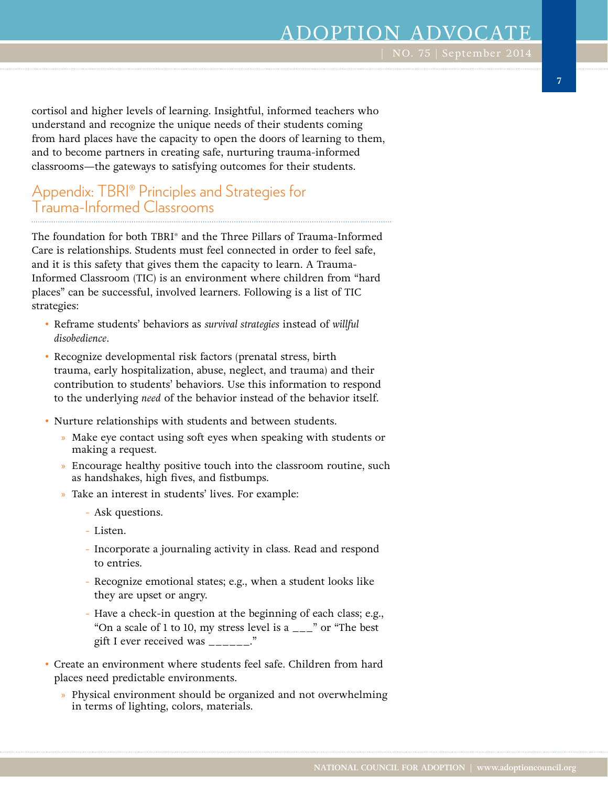## ADOPTION ADVOCATE

**7**

cortisol and higher levels of learning. Insightful, informed teachers who understand and recognize the unique needs of their students coming from hard places have the capacity to open the doors of learning to them, and to become partners in creating safe, nurturing trauma-informed classrooms—the gateways to satisfying outcomes for their students.

#### Appendix: TBRI® Principles and Strategies for Trauma-Informed Classrooms

The foundation for both TBRI® and the Three Pillars of Trauma-Informed Care is relationships. Students must feel connected in order to feel safe, and it is this safety that gives them the capacity to learn. A Trauma-Informed Classroom (TIC) is an environment where children from "hard places" can be successful, involved learners. Following is a list of TIC strategies:

- Reframe students' behaviors as *survival strategies* instead of *willful disobedience*.
- Recognize developmental risk factors (prenatal stress, birth trauma, early hospitalization, abuse, neglect, and trauma) and their contribution to students' behaviors. Use this information to respond to the underlying *need* of the behavior instead of the behavior itself.
- Nurture relationships with students and between students.
	- » Make eye contact using soft eyes when speaking with students or making a request.
	- » Encourage healthy positive touch into the classroom routine, such as handshakes, high fives, and fistbumps.
	- » Take an interest in students' lives. For example:
		- Ask questions.
		- Listen.
		- Incorporate a journaling activity in class. Read and respond to entries.
		- Recognize emotional states; e.g., when a student looks like they are upset or angry.
		- Have a check-in question at the beginning of each class; e.g., "On a scale of 1 to 10, my stress level is a  $\frac{1}{2}$ " or "The best" gift I ever received was  $\frac{1}{1}$
- Create an environment where students feel safe. Children from hard places need predictable environments.
	- » Physical environment should be organized and not overwhelming in terms of lighting, colors, materials.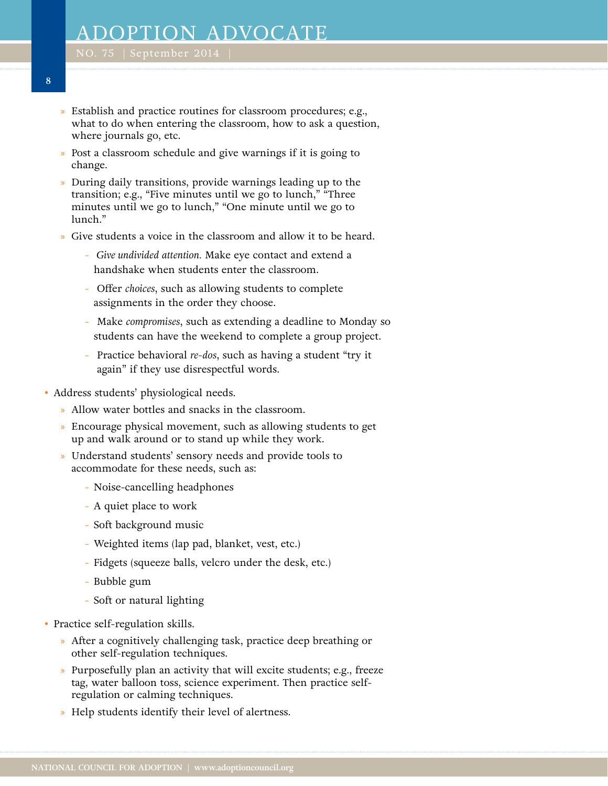- » Establish and practice routines for classroom procedures; e.g., what to do when entering the classroom, how to ask a question, where journals go, etc.
- » Post a classroom schedule and give warnings if it is going to change.
- » During daily transitions, provide warnings leading up to the transition; e.g., "Five minutes until we go to lunch," "Three minutes until we go to lunch," "One minute until we go to lunch."
- » Give students a voice in the classroom and allow it to be heard.
	- - *Give undivided attention.* Make eye contact and extend a handshake when students enter the classroom.
	- Offer *choices*, such as allowing students to complete assignments in the order they choose.
	- Make *compromises*, such as extending a deadline to Monday so students can have the weekend to complete a group project.
	- Practice behavioral *re-dos*, such as having a student "try it again" if they use disrespectful words.
- Address students' physiological needs.
	- » Allow water bottles and snacks in the classroom.
	- » Encourage physical movement, such as allowing students to get up and walk around or to stand up while they work.
	- » Understand students' sensory needs and provide tools to accommodate for these needs, such as:
		- Noise-cancelling headphones
		- A quiet place to work
		- Soft background music
		- Weighted items (lap pad, blanket, vest, etc.)
		- Fidgets (squeeze balls, velcro under the desk, etc.)
		- Bubble gum
		- Soft or natural lighting
- Practice self-regulation skills.
	- » After a cognitively challenging task, practice deep breathing or other self-regulation techniques.
	- » Purposefully plan an activity that will excite students; e.g., freeze tag, water balloon toss, science experiment. Then practice selfregulation or calming techniques.
	- » Help students identify their level of alertness.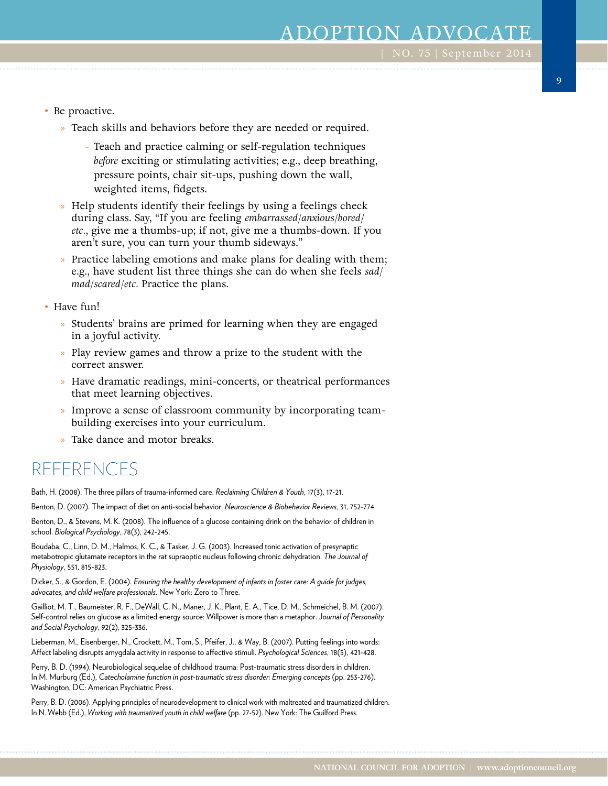- Be proactive.
	- » Teach skills and behaviors before they are needed or required.
		- Teach and practice calming or self-regulation techniques *before* exciting or stimulating activities; e.g., deep breathing, pressure points, chair sit-ups, pushing down the wall, weighted items, fidgets.
	- » Help students identify their feelings by using a feelings check during class. Say, "If you are feeling *embarrassed/anxious/bored*/ *etc.*, give me a thumbs-up; if not, give me a thumbs-down. If you aren't sure, you can turn your thumb sideways."
	- » Practice labeling emotions and make plans for dealing with them; e.g., have student list three things she can do when she feels *sad/ mad/scared/etc.* Practice the plans.
- Have fun!
	- » Students' brains are primed for learning when they are engaged in a joyful activity.
	- » Play review games and throw a prize to the student with the correct answer.
	- » Have dramatic readings, mini-concerts, or theatrical performances that meet learning objectives.
	- » Improve a sense of classroom community by incorporating teambuilding exercises into your curriculum.
	- » Take dance and motor breaks.

## REFERENCES

Bath, H. (2008). The three pillars of trauma-informed care. *Reclaiming Children & Youth*, 17(3), 17-21.

Benton, D. (2007). The impact of diet on anti-social behavior. *Neuroscience & Biobehavior Reviews*, 31, 752-774

Benton, D., & Stevens, M. K. (2008). The influence of a glucose containing drink on the behavior of children in school. *Biological Psychology*, 78(3), 242-245.

Boudaba, C., Linn, D. M., Halmos, K. C., & Tasker, J. G. (2003). Increased tonic activation of presynaptic metabotropic glutamate receptors in the rat supraoptic nucleus following chronic dehydration. *The Journal of Physiology*, 551, 815-823.

Dicker, S., & Gordon, E. (2004). *Ensuring the healthy development of infants in foster care: A guide for judges, advocates, and child welfare professionals*. New York: Zero to Three.

Gailliot, M. T., Baumeister, R. F., DeWall, C. N., Maner, J. K., Plant, E. A., Tice, D. M., Schmeichel, B. M. (2007). Self-control relies on glucose as a limited energy source: Willpower is more than a metaphor. J*ournal of Personality and Social Psychology*, 92(2), 325-336.

Lieberman, M., Eisenberger, N., Crockett, M., Tom, S., Pfeifer, J., & Way, B. (2007). Putting feelings into words: Affect labeling disrupts amygdala activity in response to affective stimuli. *Psychological Sciences*, 18(5), 421-428.

Perry, B. D. (1994). Neurobiological sequelae of childhood trauma: Post-traumatic stress disorders in children. In M. Murburg (Ed.), *Catecholamine function in post-traumatic stress disorder: Emerging concepts* (pp. 253-276). Washington, DC: American Psychiatric Press.

Perry, B. D. (2006). Applying principles of neurodevelopment to clinical work with maltreated and traumatized children. In N. Webb (Ed.), *Working with traumatized youth in child welfare* (pp. 27-52). New York: The Guilford Press.